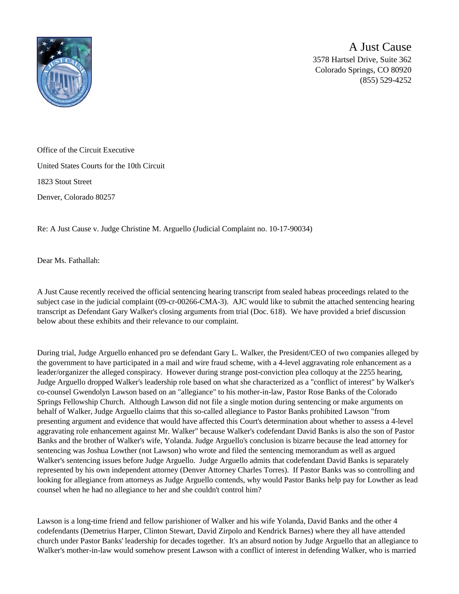

A Just Cause 3578 Hartsel Drive, Suite 362 Colorado Springs, CO 80920 (855) 529-4252

Office of the Circuit Executive United States Courts for the 10th Circuit 1823 Stout Street Denver, Colorado 80257

Re: A Just Cause v. Judge Christine M. Arguello (Judicial Complaint no. 10-17-90034)

Dear Ms. Fathallah:

A Just Cause recently received the official sentencing hearing transcript from sealed habeas proceedings related to the subject case in the judicial complaint (09-cr-00266-CMA-3). AJC would like to submit the attached sentencing hearing transcript as Defendant Gary Walker's closing arguments from trial (Doc. 618). We have provided a brief discussion below about these exhibits and their relevance to our complaint.

During trial, Judge Arguello enhanced pro se defendant Gary L. Walker, the President/CEO of two companies alleged by the government to have participated in a mail and wire fraud scheme, with a 4-level aggravating role enhancement as a leader/organizer the alleged conspiracy. However during strange post-conviction plea colloquy at the 2255 hearing, Judge Arguello dropped Walker's leadership role based on what she characterized as a "conflict of interest" by Walker's co-counsel Gwendolyn Lawson based on an "allegiance" to his mother-in-law, Pastor Rose Banks of the Colorado Springs Fellowship Church. Although Lawson did not file a single motion during sentencing or make arguments on behalf of Walker, Judge Arguello claims that this so-called allegiance to Pastor Banks prohibited Lawson "from presenting argument and evidence that would have affected this Court's determination about whether to assess a 4-level aggravating role enhancement against Mr. Walker" because Walker's codefendant David Banks is also the son of Pastor Banks and the brother of Walker's wife, Yolanda. Judge Arguello's conclusion is bizarre because the lead attorney for sentencing was Joshua Lowther (not Lawson) who wrote and filed the sentencing memorandum as well as argued Walker's sentencing issues before Judge Arguello. Judge Arguello admits that codefendant David Banks is separately represented by his own independent attorney (Denver Attorney Charles Torres). If Pastor Banks was so controlling and looking for allegiance from attorneys as Judge Arguello contends, why would Pastor Banks help pay for Lowther as lead counsel when he had no allegiance to her and she couldn't control him?

Lawson is a long-time friend and fellow parishioner of Walker and his wife Yolanda, David Banks and the other 4 codefendants (Demetrius Harper, Clinton Stewart, David Zirpolo and Kendrick Barnes) where they all have attended church under Pastor Banks' leadership for decades together. It's an absurd notion by Judge Arguello that an allegiance to Walker's mother-in-law would somehow present Lawson with a conflict of interest in defending Walker, who is married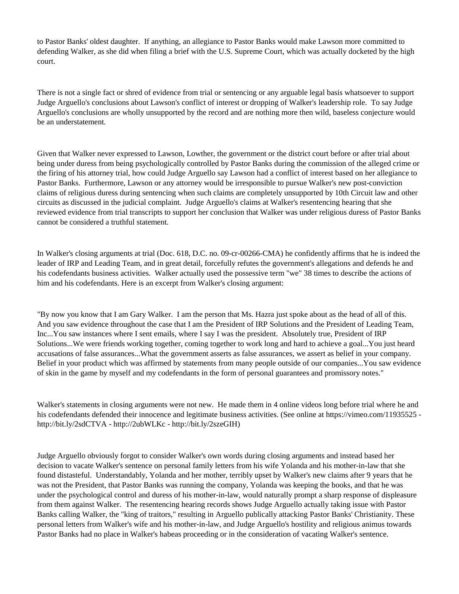to Pastor Banks' oldest daughter. If anything, an allegiance to Pastor Banks would make Lawson more committed to defending Walker, as she did when filing a brief with the U.S. Supreme Court, which was actually docketed by the high court.

There is not a single fact or shred of evidence from trial or sentencing or any arguable legal basis whatsoever to support Judge Arguello's conclusions about Lawson's conflict of interest or dropping of Walker's leadership role. To say Judge Arguello's conclusions are wholly unsupported by the record and are nothing more then wild, baseless conjecture would be an understatement.

Given that Walker never expressed to Lawson, Lowther, the government or the district court before or after trial about being under duress from being psychologically controlled by Pastor Banks during the commission of the alleged crime or the firing of his attorney trial, how could Judge Arguello say Lawson had a conflict of interest based on her allegiance to Pastor Banks. Furthermore, Lawson or any attorney would be irresponsible to pursue Walker's new post-conviction claims of religious duress during sentencing when such claims are completely unsupported by 10th Circuit law and other circuits as discussed in the judicial complaint. Judge Arguello's claims at Walker's resentencing hearing that she reviewed evidence from trial transcripts to support her conclusion that Walker was under religious duress of Pastor Banks cannot be considered a truthful statement.

In Walker's closing arguments at trial (Doc. 618, D.C. no. 09-cr-00266-CMA) he confidently affirms that he is indeed the leader of IRP and Leading Team, and in great detail, forcefully refutes the government's allegations and defends he and his codefendants business activities. Walker actually used the possessive term "we" 38 times to describe the actions of him and his codefendants. Here is an excerpt from Walker's closing argument:

"By now you know that I am Gary Walker. I am the person that Ms. Hazra just spoke about as the head of all of this. And you saw evidence throughout the case that I am the President of IRP Solutions and the President of Leading Team, Inc...You saw instances where I sent emails, where I say I was the president. Absolutely true, President of IRP Solutions...We were friends working together, coming together to work long and hard to achieve a goal...You just heard accusations of false assurances...What the government asserts as false assurances, we assert as belief in your company. Belief in your product which was affirmed by statements from many people outside of our companies...You saw evidence of skin in the game by myself and my codefendants in the form of personal guarantees and promissory notes."

Walker's statements in closing arguments were not new. He made them in 4 online videos long before trial where he and his codefendants defended their innocence and legitimate business activities. (See online at https://vimeo.com/11935525 http://bit.ly/2sdCTVA - http://2ubWLKc - http://bit.ly/2szeGIH)

Judge Arguello obviously forgot to consider Walker's own words during closing arguments and instead based her decision to vacate Walker's sentence on personal family letters from his wife Yolanda and his mother-in-law that she found distasteful. Understandably, Yolanda and her mother, terribly upset by Walker's new claims after 9 years that he was not the President, that Pastor Banks was running the company, Yolanda was keeping the books, and that he was under the psychological control and duress of his mother-in-law, would naturally prompt a sharp response of displeasure from them against Walker. The resentencing hearing records shows Judge Arguello actually taking issue with Pastor Banks calling Walker, the "king of traitors," resulting in Arguello publically attacking Pastor Banks' Christianity. These personal letters from Walker's wife and his mother-in-law, and Judge Arguello's hostility and religious animus towards Pastor Banks had no place in Walker's habeas proceeding or in the consideration of vacating Walker's sentence.